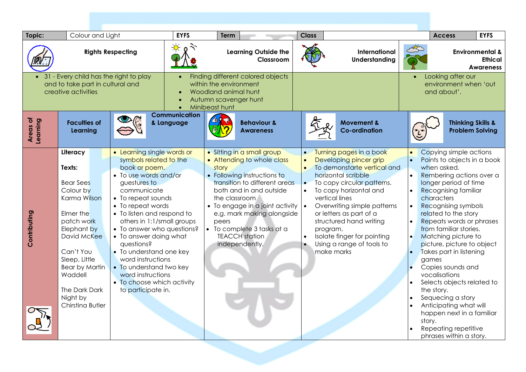| Topic:                                                                                            | Colour and Light                                                                                                                                                                                                                                |                                                                                                                                                                                                                                                                                                                                                                                                                                                                | <b>EYFS</b>                                                                                                                                 | <b>Term</b>                     |                                                                                                                                                                                                                                                                                                       | <b>Class</b>                                                  |                                                                                                                                                                                                                                                                                                                                                              |  | <b>EYFS</b><br><b>Access</b>                                                                                                                                                                                                                                                                                                                                                                                                                                                                                                                                                                    |
|---------------------------------------------------------------------------------------------------|-------------------------------------------------------------------------------------------------------------------------------------------------------------------------------------------------------------------------------------------------|----------------------------------------------------------------------------------------------------------------------------------------------------------------------------------------------------------------------------------------------------------------------------------------------------------------------------------------------------------------------------------------------------------------------------------------------------------------|---------------------------------------------------------------------------------------------------------------------------------------------|---------------------------------|-------------------------------------------------------------------------------------------------------------------------------------------------------------------------------------------------------------------------------------------------------------------------------------------------------|---------------------------------------------------------------|--------------------------------------------------------------------------------------------------------------------------------------------------------------------------------------------------------------------------------------------------------------------------------------------------------------------------------------------------------------|--|-------------------------------------------------------------------------------------------------------------------------------------------------------------------------------------------------------------------------------------------------------------------------------------------------------------------------------------------------------------------------------------------------------------------------------------------------------------------------------------------------------------------------------------------------------------------------------------------------|
|                                                                                                   | <b>Rights Respecting</b>                                                                                                                                                                                                                        |                                                                                                                                                                                                                                                                                                                                                                                                                                                                |                                                                                                                                             |                                 | <b>Learning Outside the</b><br>Classroom                                                                                                                                                                                                                                                              |                                                               | <b>International</b><br><b>Understanding</b>                                                                                                                                                                                                                                                                                                                 |  | <b>Environmental &amp;</b><br><b>Ethical</b><br><b>Awareness</b>                                                                                                                                                                                                                                                                                                                                                                                                                                                                                                                                |
| 31 - Every child has the right to play<br>and to take part in cultural and<br>creative activities |                                                                                                                                                                                                                                                 |                                                                                                                                                                                                                                                                                                                                                                                                                                                                | Finding different colored objects<br>within the environment<br>Woodland animal hunt<br>Autumn scavenger hunt<br>Minibeast hunt<br>$\bullet$ |                                 |                                                                                                                                                                                                                                                                                                       |                                                               | Looking after our<br>$\bullet$<br>environment when 'out<br>and about'.                                                                                                                                                                                                                                                                                       |  |                                                                                                                                                                                                                                                                                                                                                                                                                                                                                                                                                                                                 |
| Areas of<br>Learning                                                                              | <b>Faculties of</b><br>Learning                                                                                                                                                                                                                 |                                                                                                                                                                                                                                                                                                                                                                                                                                                                | <b>Communication</b><br>& Language                                                                                                          |                                 | <b>Behaviour &amp;</b><br><b>Awareness</b>                                                                                                                                                                                                                                                            |                                                               | <b>Movement &amp;</b><br><b>Co-ordination</b>                                                                                                                                                                                                                                                                                                                |  | <b>Thinking Skills &amp;</b><br><b>Problem Solving</b>                                                                                                                                                                                                                                                                                                                                                                                                                                                                                                                                          |
| Contributing                                                                                      | Literacy<br>Texts:<br><b>Bear Sees</b><br>Colour by<br>Karma Wilson<br>Elmer the<br>patch work<br>Elephant by<br>David McKee<br>Can't You<br>Sleep, Little<br><b>Bear by Martin</b><br>Waddell<br>The Dark Dark<br>Night by<br>Chirstina Butler | • Learning single words or<br>symbols related to the<br>book or poem.<br>• To use words and/or<br>guestures to<br>communicate<br>• To repeat sounds<br>• To repeat words<br>• To listen and respond to<br>others in 1:1/small groups<br>• To answer who questions?<br>• To answer doing what<br>questions?<br>• To understand one key<br>word instructions<br>• To understand two key<br>word instructions<br>• To choose which activity<br>to participate in. |                                                                                                                                             | story<br>the classroom<br>peers | • Sitting in a small group<br>• Attending to whole class<br>• Following instructions to<br>transition to different areas<br>both and in and outside<br>• To engage in a joint activity $\cdot$<br>e.g. mark making alongside<br>• To complete 3 tasks at a<br><b>TEACCH</b> station<br>independently. | $\bullet$<br>$\bullet$<br>$\bullet$<br>$\bullet$<br>$\bullet$ | Turning pages in a book<br>Developing pincer grip<br>To demonstarte vertical and<br>horizontal scribble<br>To copy circular patterns.<br>To copy horizontal and<br>vertical lines<br>Overwriting simple patterns<br>or letters as part of a<br>structured hand writing<br>program.<br>Isolate finger for pointing<br>Using a range of tools to<br>make marks |  | Copying simple actions<br>Points to objects in a book<br>when asked.<br>Rembering actions over a<br>longer period of time<br><b>Recognising familiar</b><br>characters<br>Recognising symbols<br>related to the story<br>Repeats words or phrases<br>from familiar stories.<br>Matching picture to<br>picture, picture to object<br>Takes part in listening<br>games<br>Copies sounds and<br>vocalisations<br>Selects objects related to<br>the story.<br>Sequecing a story<br>Anticipating what will<br>happen next in a familiar<br>story.<br>Repeating repetitive<br>phrases within a story. |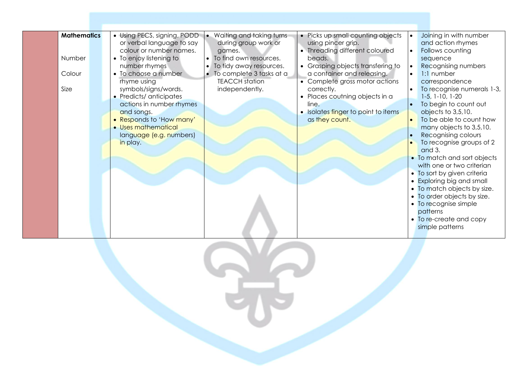| <b>Mathematics</b><br>Number<br>Colour<br>Size | • Using PECS, signing, PODD<br>or verbal language to say<br>colour or number names.<br>• To enjoy listening to<br>number rhymes<br>• To choose a number<br>rhyme using<br>symbols/signs/words.<br>• Predicts/anticipates<br>actions in number rhymes<br>and songs.<br>• Responds to 'How many'<br>• Uses mathematical<br>language (e.g. numbers)<br>in play. | • Waiting and taking turns<br>during group work or<br>games.<br>• To find own resources.<br>• To tidy away resources.<br>• To complete 3 tasks at a<br><b>TEACCH</b> station<br>independently. | • Picks up small counting objects<br>using pincer grip.<br>• Threading different coloured<br>beads.<br>• Grasping objects transfering to<br>a container and releasing.<br>• Complete gross motor actions<br>correctly.<br>• Places coutning objects in a<br>line.<br>· Isolates finger to point to items<br>as they count. | Joining in with number<br>$\bullet$<br>and action rhymes<br>Follows counting<br>$\bullet$<br>sequence<br>Recognising numbers<br>1:1 number<br>$\bullet$<br>correspondence<br>To recognise numerals 1-3,<br>$1-5$ , $1-10$ , $1-20$<br>To begin to count out<br>objects to 3,5,10.<br>To be able to count how<br>$\bullet$<br>many objects to 3,5,10.<br>Recognising colours<br>To recognise groups of 2<br>and 3.<br>• To match and sort objects<br>with one or two criterian<br>• To sort by given criteria<br>• Exploring big and small<br>• To match objects by size.<br>• To order objects by size.<br>• To recognise simple<br>patterns<br>• To re-create and copy<br>simple patterns |
|------------------------------------------------|--------------------------------------------------------------------------------------------------------------------------------------------------------------------------------------------------------------------------------------------------------------------------------------------------------------------------------------------------------------|------------------------------------------------------------------------------------------------------------------------------------------------------------------------------------------------|----------------------------------------------------------------------------------------------------------------------------------------------------------------------------------------------------------------------------------------------------------------------------------------------------------------------------|--------------------------------------------------------------------------------------------------------------------------------------------------------------------------------------------------------------------------------------------------------------------------------------------------------------------------------------------------------------------------------------------------------------------------------------------------------------------------------------------------------------------------------------------------------------------------------------------------------------------------------------------------------------------------------------------|
|                                                |                                                                                                                                                                                                                                                                                                                                                              |                                                                                                                                                                                                |                                                                                                                                                                                                                                                                                                                            |                                                                                                                                                                                                                                                                                                                                                                                                                                                                                                                                                                                                                                                                                            |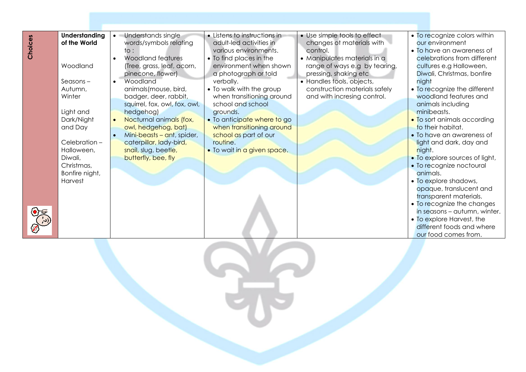| Choices | <b>Understanding</b><br>of the World<br>Woodland<br>$S$ easons –<br>Autumn,<br>Winter<br>Light and<br>Dark/Night<br>and Day<br>Celebration-<br>Halloween,<br>Diwali,<br>Christmas,<br>Bonfire night,<br>Harvest | • Understands single<br>words/symbols relating<br>to :<br>Woodland features<br>(Tree, grass, leaf, acorn,<br>pinecone, flower)<br>Woodland<br>$\bullet$<br>animals(mouse, bird,<br>badger, deer, rabbit,<br>squirrel, fox, owl, fox, owl,<br>hedgehog)<br>Nocturnal animals (fox,<br>owl, hedgehog, bat)<br>Mini-beasts - ant, spider,<br>caterpillar, lady-bird,<br>snail, slug, beetle,<br>butterfly, bee, fly | • Listens to instructions in<br>adult-led activities in<br>various environments.<br>• To find places in the<br>environment when shown<br>a photograph or told<br>verbally.<br>• To walk with the group<br>when transitioning around<br>school and school<br>grounds.<br>• To anticipate where to go<br>when transitioning around<br>school as part of our<br>routine.<br>. To wait in a given space. | • Use simple tools to effect<br>changes of materials with<br>control.<br>• Manipulates materials in a<br>range of ways e.g by tearing,<br>pressing, shaking etc<br>• Handles tools, objects,<br>construction materials safely<br>and with incresing control. | • To recognize colors within<br>our environment<br>• To have an awareness of<br>celebrations from different<br>cultures e.g Halloween,<br>Diwali, Christmas, bonfire<br>night<br>• To recognize the different<br>woodland features and<br>animals including<br>minibeasts.<br>• To sort animals according<br>to their habitat.<br>• To have an awareness of<br>light and dark, day and<br>night.<br>• To explore sources of light,<br>· To recognize noctoural<br>animals.<br>• To explore shadows,<br>opaque, translucent and<br>transparent materials.<br>• To recognize the changes<br>in seasons - autumn, winter.<br>• To explore Harvest, the<br>different foods and where<br>our food comes from. |
|---------|-----------------------------------------------------------------------------------------------------------------------------------------------------------------------------------------------------------------|------------------------------------------------------------------------------------------------------------------------------------------------------------------------------------------------------------------------------------------------------------------------------------------------------------------------------------------------------------------------------------------------------------------|------------------------------------------------------------------------------------------------------------------------------------------------------------------------------------------------------------------------------------------------------------------------------------------------------------------------------------------------------------------------------------------------------|--------------------------------------------------------------------------------------------------------------------------------------------------------------------------------------------------------------------------------------------------------------|----------------------------------------------------------------------------------------------------------------------------------------------------------------------------------------------------------------------------------------------------------------------------------------------------------------------------------------------------------------------------------------------------------------------------------------------------------------------------------------------------------------------------------------------------------------------------------------------------------------------------------------------------------------------------------------------------------|
|         |                                                                                                                                                                                                                 |                                                                                                                                                                                                                                                                                                                                                                                                                  |                                                                                                                                                                                                                                                                                                                                                                                                      |                                                                                                                                                                                                                                                              |                                                                                                                                                                                                                                                                                                                                                                                                                                                                                                                                                                                                                                                                                                          |
|         |                                                                                                                                                                                                                 |                                                                                                                                                                                                                                                                                                                                                                                                                  |                                                                                                                                                                                                                                                                                                                                                                                                      |                                                                                                                                                                                                                                                              |                                                                                                                                                                                                                                                                                                                                                                                                                                                                                                                                                                                                                                                                                                          |

Sie